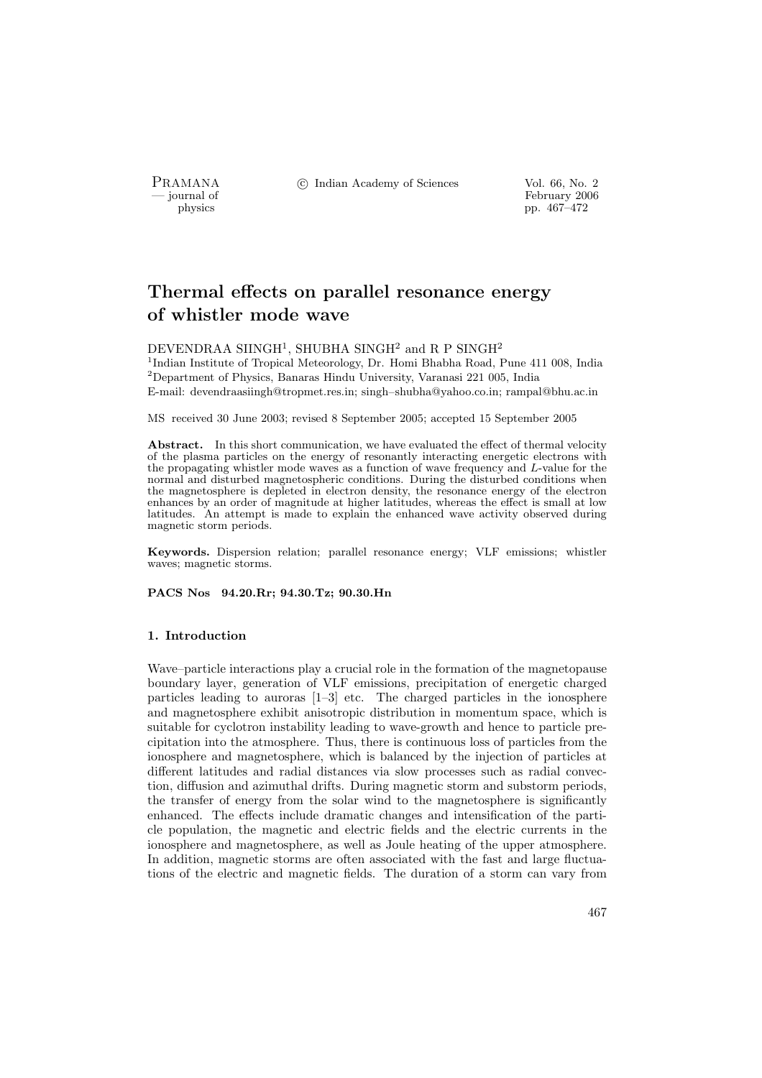PRAMANA <sup>©</sup> Indian Academy of Sciences Vol. 66, No. 2

physics<br>
and the settlement of February 2006<br>
pp. 467–472 physics pp. 467–472

# Thermal effects on parallel resonance energy of whistler mode wave

## $\rm DEVENDRAA$   $\rm SIMGH^1,$   $\rm SHUBHA$   $\rm SINGH^2$  and  $\rm R$  P  $\rm SINGH^2$

<sup>1</sup>Indian Institute of Tropical Meteorology, Dr. Homi Bhabha Road, Pune 411 008, India  $^2$ Department of Physics, Banaras Hindu University, Varanasi 221 005, India E-mail: devendraasiingh@tropmet.res.in; singh–shubha@yahoo.co.in; rampal@bhu.ac.in

MS received 30 June 2003; revised 8 September 2005; accepted 15 September 2005

Abstract. In this short communication, we have evaluated the effect of thermal velocity of the plasma particles on the energy of resonantly interacting energetic electrons with the propagating whistler mode waves as a function of wave frequency and L-value for the normal and disturbed magnetospheric conditions. During the disturbed conditions when the magnetosphere is depleted in electron density, the resonance energy of the electron enhances by an order of magnitude at higher latitudes, whereas the effect is small at low latitudes. An attempt is made to explain the enhanced wave activity observed during magnetic storm periods.

Keywords. Dispersion relation; parallel resonance energy; VLF emissions; whistler waves; magnetic storms.

PACS Nos 94.20.Rr; 94.30.Tz; 90.30.Hn

## 1. Introduction

Wave–particle interactions play a crucial role in the formation of the magnetopause boundary layer, generation of VLF emissions, precipitation of energetic charged particles leading to auroras [1–3] etc. The charged particles in the ionosphere and magnetosphere exhibit anisotropic distribution in momentum space, which is suitable for cyclotron instability leading to wave-growth and hence to particle precipitation into the atmosphere. Thus, there is continuous loss of particles from the ionosphere and magnetosphere, which is balanced by the injection of particles at different latitudes and radial distances via slow processes such as radial convection, diffusion and azimuthal drifts. During magnetic storm and substorm periods, the transfer of energy from the solar wind to the magnetosphere is significantly enhanced. The effects include dramatic changes and intensification of the particle population, the magnetic and electric fields and the electric currents in the ionosphere and magnetosphere, as well as Joule heating of the upper atmosphere. In addition, magnetic storms are often associated with the fast and large fluctuations of the electric and magnetic fields. The duration of a storm can vary from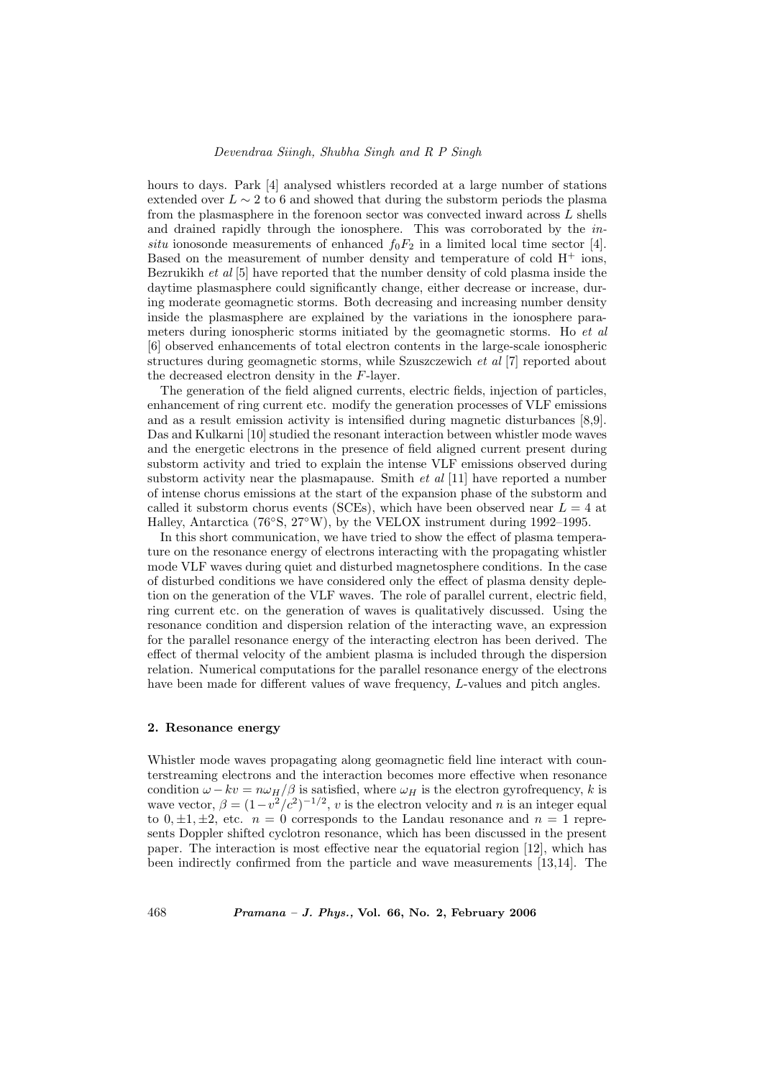hours to days. Park [4] analysed whistlers recorded at a large number of stations extended over  $L \sim 2$  to 6 and showed that during the substorm periods the plasma from the plasmasphere in the forenoon sector was convected inward across L shells and drained rapidly through the ionosphere. This was corroborated by the insitu ionosonde measurements of enhanced  $f_0F_2$  in a limited local time sector [4]. Based on the measurement of number density and temperature of cold  $H^+$  ions, Bezrukikh et al [5] have reported that the number density of cold plasma inside the daytime plasmasphere could significantly change, either decrease or increase, during moderate geomagnetic storms. Both decreasing and increasing number density inside the plasmasphere are explained by the variations in the ionosphere parameters during ionospheric storms initiated by the geomagnetic storms. Ho et al. [6] observed enhancements of total electron contents in the large-scale ionospheric structures during geomagnetic storms, while Szuszczewich et al [7] reported about the decreased electron density in the F-layer.

The generation of the field aligned currents, electric fields, injection of particles, enhancement of ring current etc. modify the generation processes of VLF emissions and as a result emission activity is intensified during magnetic disturbances [8,9]. Das and Kulkarni [10] studied the resonant interaction between whistler mode waves and the energetic electrons in the presence of field aligned current present during substorm activity and tried to explain the intense VLF emissions observed during substorm activity near the plasmapause. Smith  $et \ al \ [11]$  have reported a number of intense chorus emissions at the start of the expansion phase of the substorm and called it substorm chorus events (SCEs), which have been observed near  $L = 4$  at Halley, Antarctica (76◦S, 27◦W), by the VELOX instrument during 1992–1995.

In this short communication, we have tried to show the effect of plasma temperature on the resonance energy of electrons interacting with the propagating whistler mode VLF waves during quiet and disturbed magnetosphere conditions. In the case of disturbed conditions we have considered only the effect of plasma density depletion on the generation of the VLF waves. The role of parallel current, electric field, ring current etc. on the generation of waves is qualitatively discussed. Using the resonance condition and dispersion relation of the interacting wave, an expression for the parallel resonance energy of the interacting electron has been derived. The effect of thermal velocity of the ambient plasma is included through the dispersion relation. Numerical computations for the parallel resonance energy of the electrons have been made for different values of wave frequency, L-values and pitch angles.

#### 2. Resonance energy

Whistler mode waves propagating along geomagnetic field line interact with counterstreaming electrons and the interaction becomes more effective when resonance condition  $\omega - kv = n\omega_H/\beta$  is satisfied, where  $\omega_H$  is the electron gyrofrequency, k is wave vector,  $\beta = (1 - v^2/c^2)^{-1/2}$ , v is the electron velocity and n is an integer equal to  $0, \pm 1, \pm 2$ , etc.  $n = 0$  corresponds to the Landau resonance and  $n = 1$  represents Doppler shifted cyclotron resonance, which has been discussed in the present paper. The interaction is most effective near the equatorial region [12], which has been indirectly confirmed from the particle and wave measurements [13,14]. The

468 Pramana – J. Phys., Vol. 66, No. 2, February 2006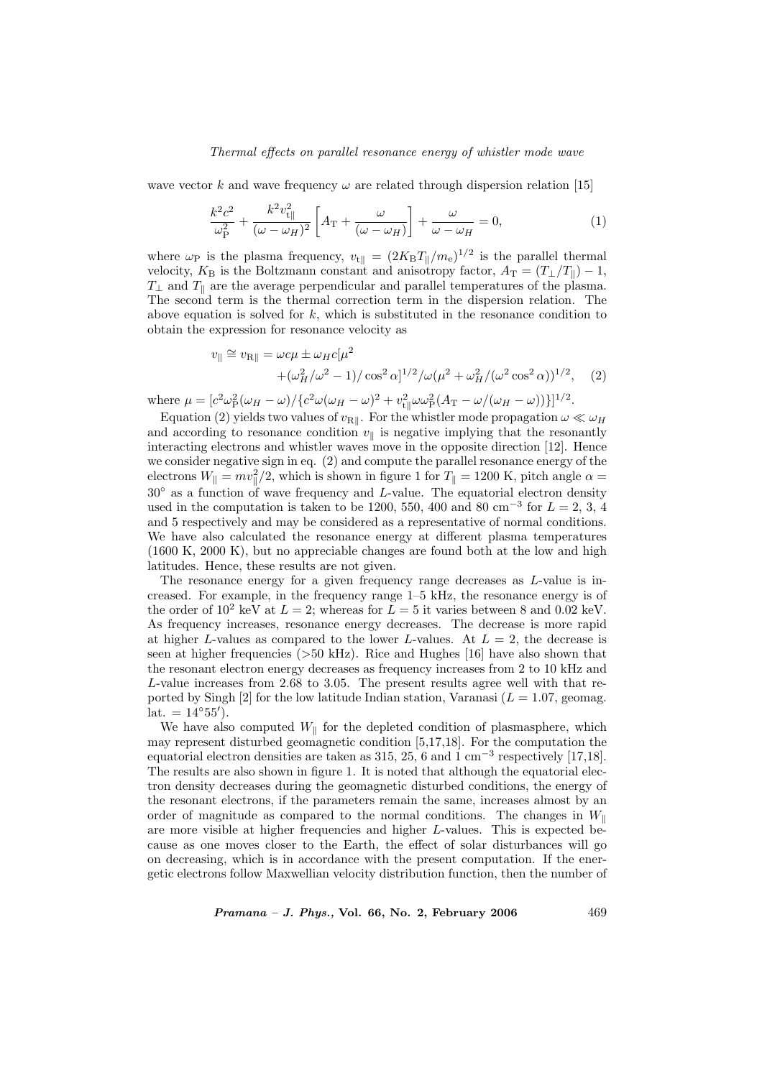### Thermal effects on parallel resonance energy of whistler mode wave

wave vector k and wave frequency  $\omega$  are related through dispersion relation [15]

$$
\frac{k^2c^2}{\omega_{\rm P}^2} + \frac{k^2v_{\rm t\parallel}^2}{(\omega - \omega_H)^2} \left[ A_{\rm T} + \frac{\omega}{(\omega - \omega_H)} \right] + \frac{\omega}{\omega - \omega_H} = 0, \tag{1}
$$

where  $\omega_P$  is the plasma frequency,  $v_{\text{t}} = (2K_B T_{\parallel}/m_e)^{1/2}$  is the parallel thermal velocity,  $K_{\rm B}$  is the Boltzmann constant and anisotropy factor,  $A_{\rm T} = (T_{\perp}/T_{\parallel}) - 1$ ,  $T_{\perp}$  and  $T_{\parallel}$  are the average perpendicular and parallel temperatures of the plasma. The second term is the thermal correction term in the dispersion relation. The above equation is solved for  $k$ , which is substituted in the resonance condition to obtain the expression for resonance velocity as

$$
v_{\parallel} \cong v_{\text{R}\parallel} = \omega c\mu \pm \omega_{H} c[\mu^{2} + (\omega_{H}^{2}/\omega^{2} - 1)/\cos^{2}\alpha]^{1/2} / \omega(\mu^{2} + \omega_{H}^{2}/(\omega^{2}\cos^{2}\alpha))^{1/2}, \quad (2)
$$

where  $\mu = \left[ c^2 \omega_{\rm P}^2 (\omega_H - \omega) / \left\{ c^2 \omega (\omega_H - \omega)^2 + v_{\rm th}^2 \omega \omega_{\rm P}^2 (A_{\rm T} - \omega / (\omega_H - \omega)) \right\} \right]^{1/2}$ .

Equation (2) yields two values of  $v_{\text{R}\parallel}$ . For the whistler mode propagation  $\omega \ll \omega_H$ and according to resonance condition  $v_{\parallel}$  is negative implying that the resonantly interacting electrons and whistler waves move in the opposite direction [12]. Hence we consider negative sign in eq. (2) and compute the parallel resonance energy of the electrons  $W_{\parallel} = mv_{\parallel}^2/2$ , which is shown in figure 1 for  $T_{\parallel} = 1200$  K, pitch angle  $\alpha =$  $30°$  as a function of wave frequency and L-value. The equatorial electron density used in the computation is taken to be 1200, 550, 400 and 80 cm<sup>-3</sup> for  $L = 2, 3, 4$ and 5 respectively and may be considered as a representative of normal conditions. We have also calculated the resonance energy at different plasma temperatures (1600 K, 2000 K), but no appreciable changes are found both at the low and high latitudes. Hence, these results are not given.

The resonance energy for a given frequency range decreases as L-value is increased. For example, in the frequency range 1–5 kHz, the resonance energy is of the order of  $10^2$  keV at  $L = 2$ ; whereas for  $\overline{L} = 5$  it varies between 8 and 0.02 keV. As frequency increases, resonance energy decreases. The decrease is more rapid at higher L-values as compared to the lower L-values. At  $L = 2$ , the decrease is seen at higher frequencies (>50 kHz). Rice and Hughes [16] have also shown that the resonant electron energy decreases as frequency increases from 2 to 10 kHz and L-value increases from 2.68 to 3.05. The present results agree well with that reported by Singh [2] for the low latitude Indian station, Varanasi  $(L = 1.07,$  geomag.  $\mathrm{lat.} = 14^{\circ}55'.$ 

We have also computed  $W_{\parallel}$  for the depleted condition of plasmasphere, which may represent disturbed geomagnetic condition [5,17,18]. For the computation the equatorial electron densities are taken as  $315, 25, 6$  and  $1 \text{ cm}^{-3}$  respectively [17,18]. The results are also shown in figure 1. It is noted that although the equatorial electron density decreases during the geomagnetic disturbed conditions, the energy of the resonant electrons, if the parameters remain the same, increases almost by an order of magnitude as compared to the normal conditions. The changes in  $W_{\parallel}$ are more visible at higher frequencies and higher L-values. This is expected because as one moves closer to the Earth, the effect of solar disturbances will go on decreasing, which is in accordance with the present computation. If the energetic electrons follow Maxwellian velocity distribution function, then the number of

*Pramana – J. Phys.*, Vol. 66, No. 2, February 2006  $469$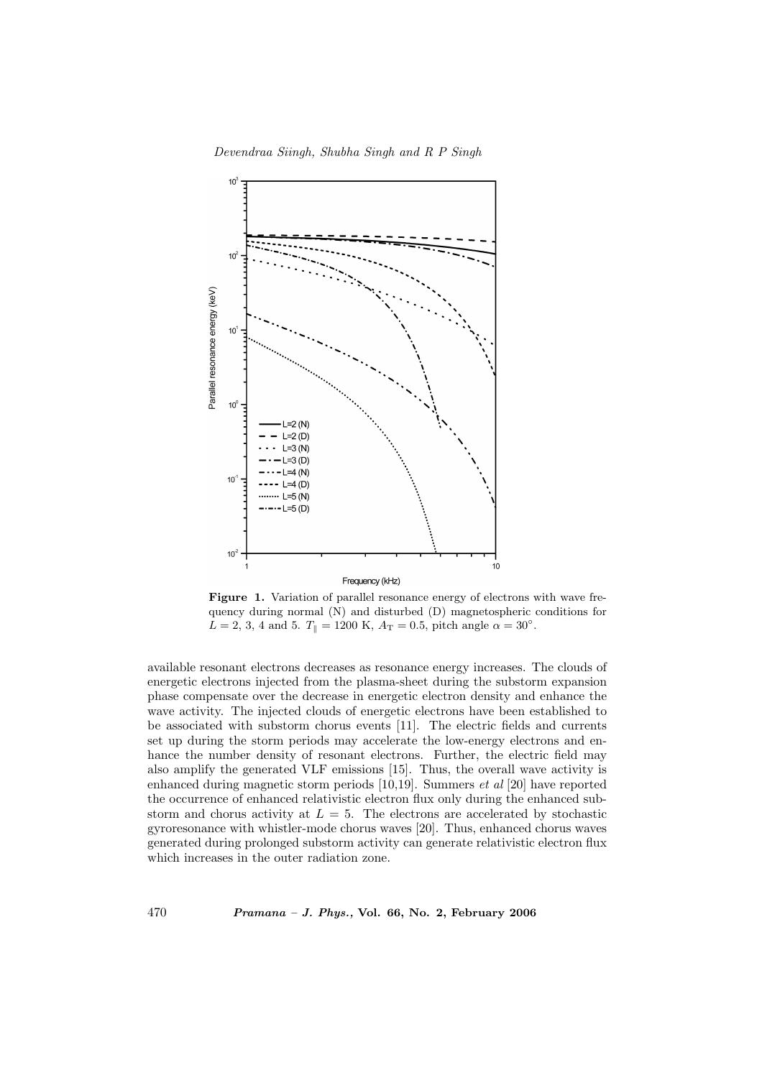

Figure 1. Variation of parallel resonance energy of electrons with wave frequency during normal (N) and disturbed (D) magnetospheric conditions for  $L = 2, 3, 4$  and 5.  $T_{\parallel} = 1200 \text{ K}, A_{\text{T}} = 0.5$ , pitch angle  $\alpha = 30^{\circ}$ .

available resonant electrons decreases as resonance energy increases. The clouds of energetic electrons injected from the plasma-sheet during the substorm expansion phase compensate over the decrease in energetic electron density and enhance the wave activity. The injected clouds of energetic electrons have been established to be associated with substorm chorus events [11]. The electric fields and currents set up during the storm periods may accelerate the low-energy electrons and enhance the number density of resonant electrons. Further, the electric field may also amplify the generated VLF emissions [15]. Thus, the overall wave activity is enhanced during magnetic storm periods [10,19]. Summers et al [20] have reported the occurrence of enhanced relativistic electron flux only during the enhanced substorm and chorus activity at  $L = 5$ . The electrons are accelerated by stochastic gyroresonance with whistler-mode chorus waves [20]. Thus, enhanced chorus waves generated during prolonged substorm activity can generate relativistic electron flux which increases in the outer radiation zone.

 $470$  Pramana – J. Phys., Vol. 66, No. 2, February 2006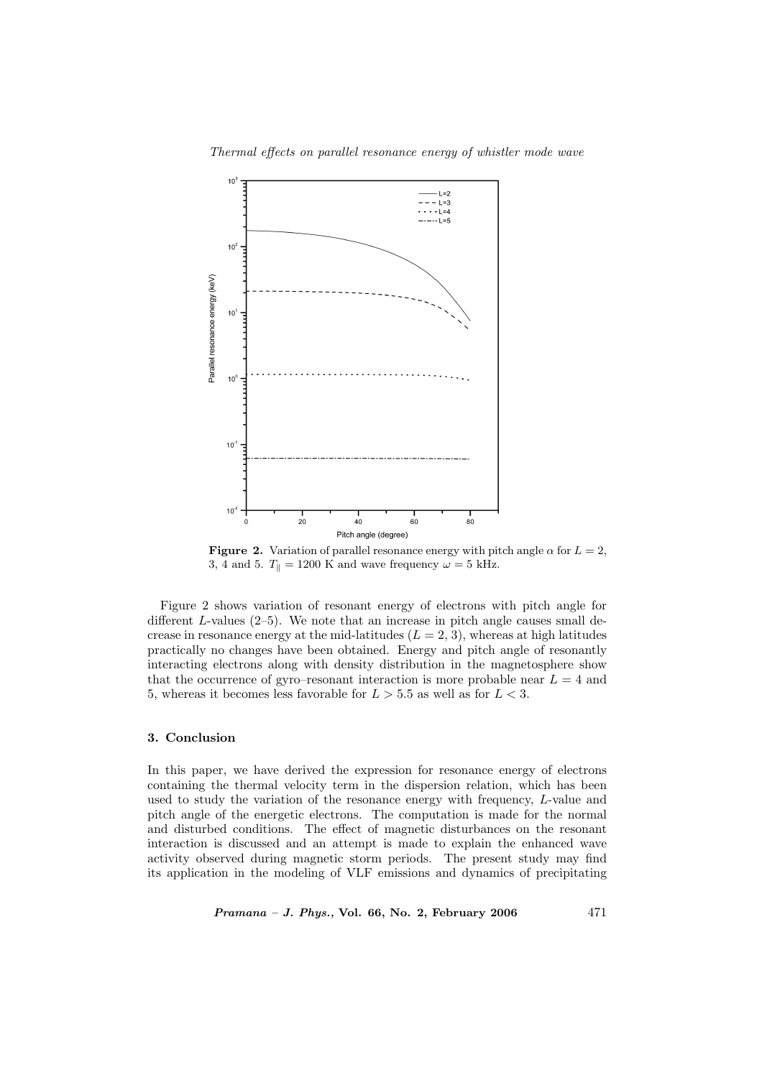Thermal effects on parallel resonance energy of whistler mode wave



**Figure 2.** Variation of parallel resonance energy with pitch angle  $\alpha$  for  $L = 2$ , 3, 4 and 5.  $T_{\parallel} = 1200 \text{ K}$  and wave frequency  $\omega = 5 \text{ kHz}$ .

Figure 2 shows variation of resonant energy of electrons with pitch angle for different  $L$ -values (2–5). We note that an increase in pitch angle causes small decrease in resonance energy at the mid-latitudes  $(L = 2, 3)$ , whereas at high latitudes practically no changes have been obtained. Energy and pitch angle of resonantly interacting electrons along with density distribution in the magnetosphere show that the occurrence of gyro–resonant interaction is more probable near  $L = 4$  and 5, whereas it becomes less favorable for  $L > 5.5$  as well as for  $L < 3$ .

# 3. Conclusion

In this paper, we have derived the expression for resonance energy of electrons containing the thermal velocity term in the dispersion relation, which has been used to study the variation of the resonance energy with frequency, L-value and pitch angle of the energetic electrons. The computation is made for the normal and disturbed conditions. The effect of magnetic disturbances on the resonant interaction is discussed and an attempt is made to explain the enhanced wave activity observed during magnetic storm periods. The present study may find its application in the modeling of VLF emissions and dynamics of precipitating

 $Pramana - J. Phys., Vol. 66, No. 2, February 2006  $471$$